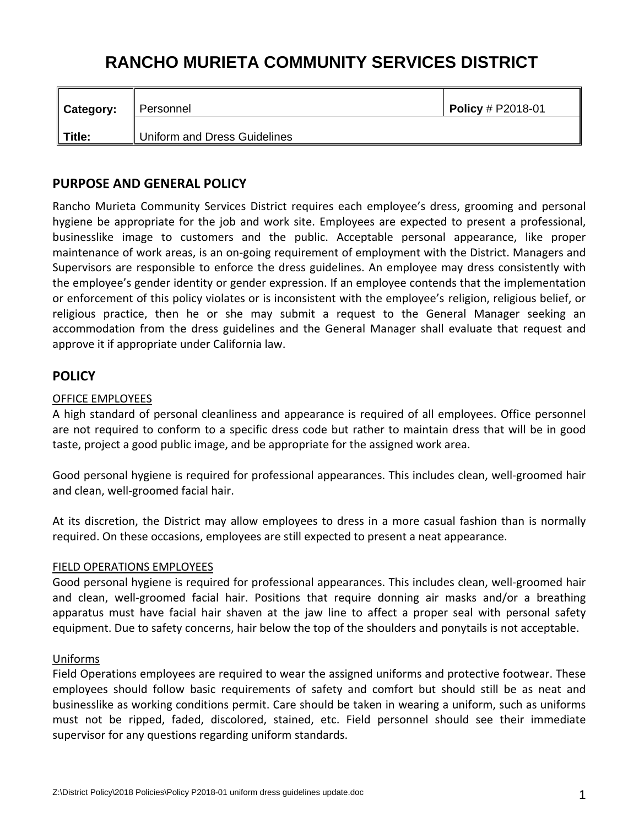# **RANCHO MURIETA COMMUNITY SERVICES DISTRICT**

| $\parallel$ Category: | ∥ Personnel                  | <b>Policy</b> # P2018-01 |
|-----------------------|------------------------------|--------------------------|
| $\parallel$ Title:    | Uniform and Dress Guidelines |                          |

# **PURPOSE AND GENERAL POLICY**

Rancho Murieta Community Services District requires each employee's dress, grooming and personal hygiene be appropriate for the job and work site. Employees are expected to present a professional, businesslike image to customers and the public. Acceptable personal appearance, like proper maintenance of work areas, is an on‐going requirement of employment with the District. Managers and Supervisors are responsible to enforce the dress guidelines. An employee may dress consistently with the employee's gender identity or gender expression. If an employee contends that the implementation or enforcement of this policy violates or is inconsistent with the employee's religion, religious belief, or religious practice, then he or she may submit a request to the General Manager seeking an accommodation from the dress guidelines and the General Manager shall evaluate that request and approve it if appropriate under California law.

## **POLICY**

#### OFFICE EMPLOYEES

A high standard of personal cleanliness and appearance is required of all employees. Office personnel are not required to conform to a specific dress code but rather to maintain dress that will be in good taste, project a good public image, and be appropriate for the assigned work area.

Good personal hygiene is required for professional appearances. This includes clean, well‐groomed hair and clean, well‐groomed facial hair.

At its discretion, the District may allow employees to dress in a more casual fashion than is normally required. On these occasions, employees are still expected to present a neat appearance.

#### FIELD OPERATIONS EMPLOYEES

Good personal hygiene is required for professional appearances. This includes clean, well‐groomed hair and clean, well-groomed facial hair. Positions that require donning air masks and/or a breathing apparatus must have facial hair shaven at the jaw line to affect a proper seal with personal safety equipment. Due to safety concerns, hair below the top of the shoulders and ponytails is not acceptable.

#### Uniforms

Field Operations employees are required to wear the assigned uniforms and protective footwear. These employees should follow basic requirements of safety and comfort but should still be as neat and businesslike as working conditions permit. Care should be taken in wearing a uniform, such as uniforms must not be ripped, faded, discolored, stained, etc. Field personnel should see their immediate supervisor for any questions regarding uniform standards.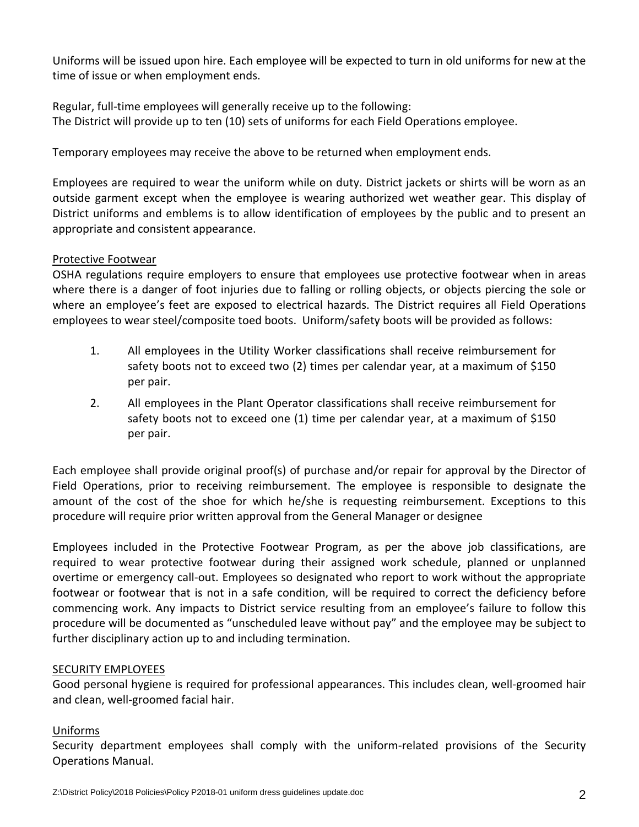Uniforms will be issued upon hire. Each employee will be expected to turn in old uniforms for new at the time of issue or when employment ends.

Regular, full-time employees will generally receive up to the following: The District will provide up to ten (10) sets of uniforms for each Field Operations employee.

Temporary employees may receive the above to be returned when employment ends.

Employees are required to wear the uniform while on duty. District jackets or shirts will be worn as an outside garment except when the employee is wearing authorized wet weather gear. This display of District uniforms and emblems is to allow identification of employees by the public and to present an appropriate and consistent appearance.

## Protective Footwear

OSHA regulations require employers to ensure that employees use protective footwear when in areas where there is a danger of foot injuries due to falling or rolling objects, or objects piercing the sole or where an employee's feet are exposed to electrical hazards. The District requires all Field Operations employees to wear steel/composite toed boots. Uniform/safety boots will be provided as follows:

- 1. All employees in the Utility Worker classifications shall receive reimbursement for safety boots not to exceed two (2) times per calendar year, at a maximum of \$150 per pair.
- 2. All employees in the Plant Operator classifications shall receive reimbursement for safety boots not to exceed one (1) time per calendar year, at a maximum of \$150 per pair.

Each employee shall provide original proof(s) of purchase and/or repair for approval by the Director of Field Operations, prior to receiving reimbursement. The employee is responsible to designate the amount of the cost of the shoe for which he/she is requesting reimbursement. Exceptions to this procedure will require prior written approval from the General Manager or designee

Employees included in the Protective Footwear Program, as per the above job classifications, are required to wear protective footwear during their assigned work schedule, planned or unplanned overtime or emergency call‐out. Employees so designated who report to work without the appropriate footwear or footwear that is not in a safe condition, will be required to correct the deficiency before commencing work. Any impacts to District service resulting from an employee's failure to follow this procedure will be documented as "unscheduled leave without pay" and the employee may be subject to further disciplinary action up to and including termination.

## SECURITY EMPLOYEES

Good personal hygiene is required for professional appearances. This includes clean, well‐groomed hair and clean, well‐groomed facial hair.

# Uniforms

Security department employees shall comply with the uniform-related provisions of the Security Operations Manual.